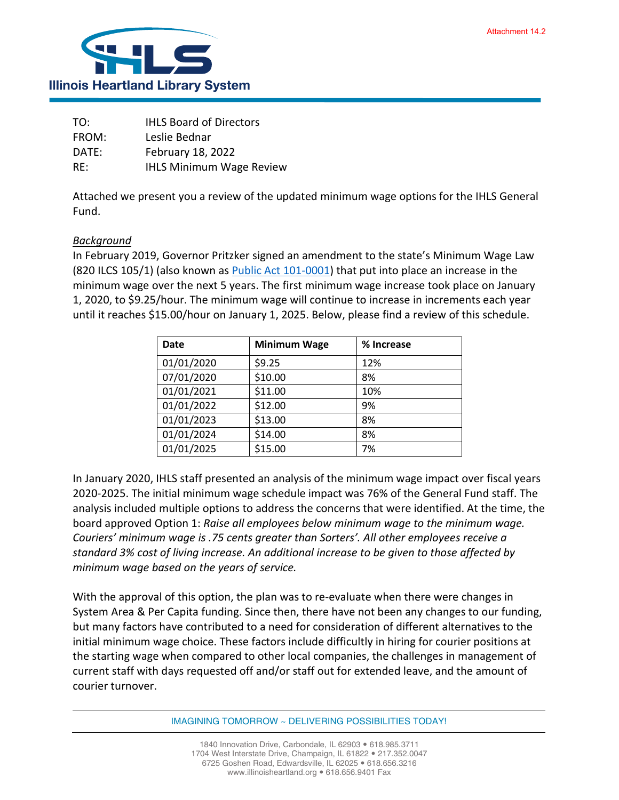

| TO:   | <b>IHLS Board of Directors</b>  |
|-------|---------------------------------|
| FROM: | Leslie Bednar                   |
| DATE: | February 18, 2022               |
| RE:   | <b>IHLS Minimum Wage Review</b> |

Attached we present you a review of the updated minimum wage options for the IHLS General Fund.

## *Background*

In February 2019, Governor Pritzker signed an amendment to the state's Minimum Wage Law (820 ILCS 105/1) (also known as [Public Act 101-0001\)](http://www.ilga.gov/legislation/publicacts/101/101-0001.htm) that put into place an increase in the minimum wage over the next 5 years. The first minimum wage increase took place on January 1, 2020, to \$9.25/hour. The minimum wage will continue to increase in increments each year until it reaches \$15.00/hour on January 1, 2025. Below, please find a review of this schedule.

| <b>Date</b> | <b>Minimum Wage</b> | % Increase |
|-------------|---------------------|------------|
| 01/01/2020  | \$9.25              | 12%        |
| 07/01/2020  | \$10.00             | 8%         |
| 01/01/2021  | \$11.00             | 10%        |
| 01/01/2022  | \$12.00             | 9%         |
| 01/01/2023  | \$13.00             | 8%         |
| 01/01/2024  | \$14.00             | 8%         |
| 01/01/2025  | \$15.00             | 7%         |

In January 2020, IHLS staff presented an analysis of the minimum wage impact over fiscal years 2020-2025. The initial minimum wage schedule impact was 76% of the General Fund staff. The analysis included multiple options to address the concerns that were identified. At the time, the board approved Option 1: *Raise all employees below minimum wage to the minimum wage. Couriers' minimum wage is .75 cents greater than Sorters'. All other employees receive a standard 3% cost of living increase. An additional increase to be given to those affected by minimum wage based on the years of service.* 

With the approval of this option, the plan was to re-evaluate when there were changes in System Area & Per Capita funding. Since then, there have not been any changes to our funding, but many factors have contributed to a need for consideration of different alternatives to the initial minimum wage choice. These factors include difficultly in hiring for courier positions at the starting wage when compared to other local companies, the challenges in management of current staff with days requested off and/or staff out for extended leave, and the amount of courier turnover.

IMAGINING TOMORROW ~ DELIVERING POSSIBILITIES TODAY!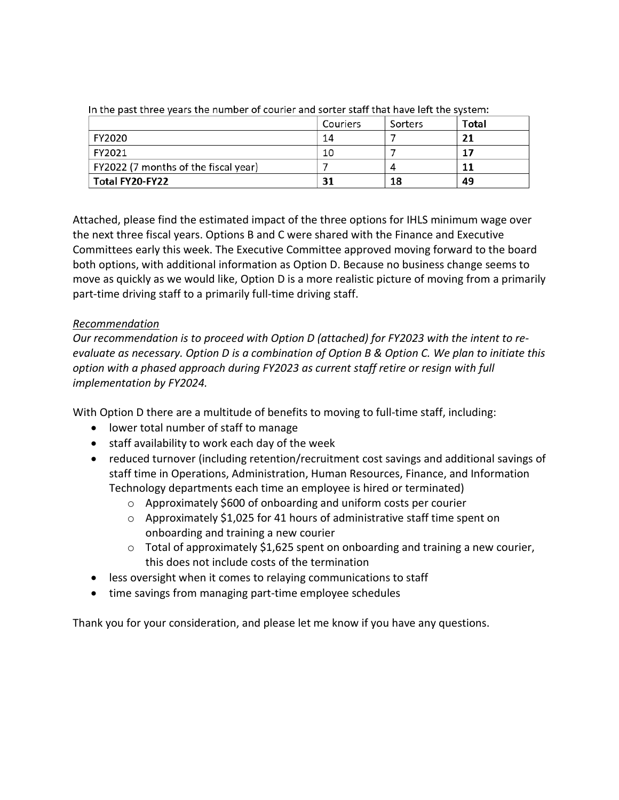|                                      | Couriers | Sorters | Total |
|--------------------------------------|----------|---------|-------|
| FY2020                               | 14       |         | 21    |
| FY2021                               | 10       |         | 17    |
| FY2022 (7 months of the fiscal year) |          |         |       |
| Total FY20-FY22                      | 31       | 18      | 49    |

In the past three vears the number of courier and sorter staff that have left the system:

Attached, please find the estimated impact of the three options for IHLS minimum wage over the next three fiscal years. Options B and C were shared with the Finance and Executive Committees early this week. The Executive Committee approved moving forward to the board both options, with additional information as Option D. Because no business change seems to move as quickly as we would like, Option D is a more realistic picture of moving from a primarily part-time driving staff to a primarily full-time driving staff.

## *Recommendation*

*Our recommendation is to proceed with Option D (attached) for FY2023 with the intent to reevaluate as necessary. Option D is a combination of Option B & Option C. We plan to initiate this option with a phased approach during FY2023 as current staff retire or resign with full implementation by FY2024.*

With Option D there are a multitude of benefits to moving to full-time staff, including:

- lower total number of staff to manage
- staff availability to work each day of the week
- reduced turnover (including retention/recruitment cost savings and additional savings of staff time in Operations, Administration, Human Resources, Finance, and Information Technology departments each time an employee is hired or terminated)
	- o Approximately \$600 of onboarding and uniform costs per courier
	- o Approximately \$1,025 for 41 hours of administrative staff time spent on onboarding and training a new courier
	- o Total of approximately \$1,625 spent on onboarding and training a new courier, this does not include costs of the termination
- less oversight when it comes to relaying communications to staff
- time savings from managing part-time employee schedules

Thank you for your consideration, and please let me know if you have any questions.